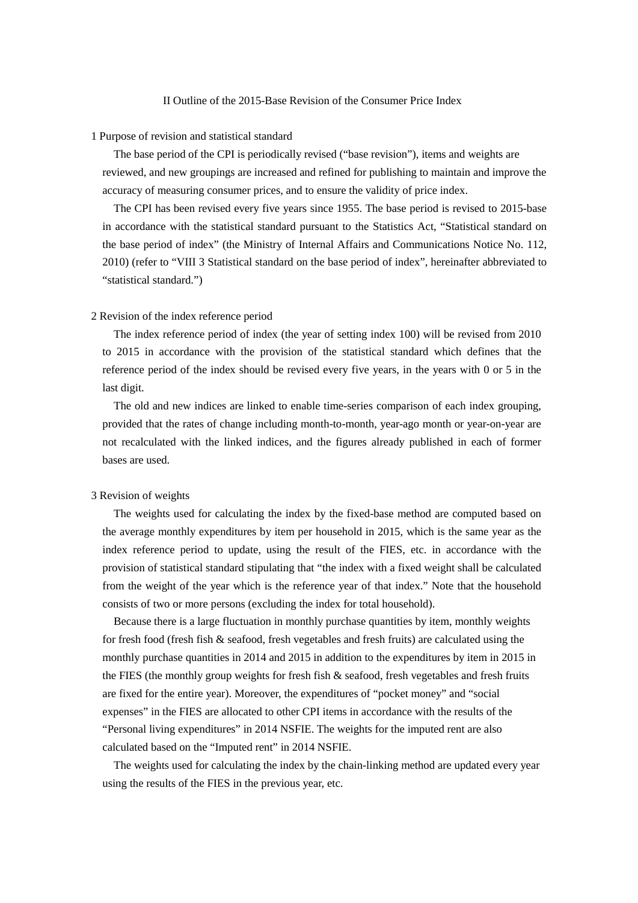## II Outline of the 2015-Base Revision of the Consumer Price Index

### 1 Purpose of revision and statistical standard

The base period of the CPI is periodically revised ("base revision"), items and weights are reviewed, and new groupings are increased and refined for publishing to maintain and improve the accuracy of measuring consumer prices, and to ensure the validity of price index.

The CPI has been revised every five years since 1955. The base period is revised to 2015-base in accordance with the statistical standard pursuant to the Statistics Act, "Statistical standard on the base period of index" (the Ministry of Internal Affairs and Communications Notice No. 112, 2010) (refer to "VIII 3 Statistical standard on the base period of index", hereinafter abbreviated to "statistical standard.")

## 2 Revision of the index reference period

The index reference period of index (the year of setting index 100) will be revised from 2010 to 2015 in accordance with the provision of the statistical standard which defines that the reference period of the index should be revised every five years, in the years with 0 or 5 in the last digit.

The old and new indices are linked to enable time-series comparison of each index grouping, provided that the rates of change including month-to-month, year-ago month or year-on-year are not recalculated with the linked indices, and the figures already published in each of former bases are used.

## 3 Revision of weights

The weights used for calculating the index by the fixed-base method are computed based on the average monthly expenditures by item per household in 2015, which is the same year as the index reference period to update, using the result of the FIES, etc. in accordance with the provision of statistical standard stipulating that "the index with a fixed weight shall be calculated from the weight of the year which is the reference year of that index." Note that the household consists of two or more persons (excluding the index for total household).

Because there is a large fluctuation in monthly purchase quantities by item, monthly weights for fresh food (fresh fish & seafood, fresh vegetables and fresh fruits) are calculated using the monthly purchase quantities in 2014 and 2015 in addition to the expenditures by item in 2015 in the FIES (the monthly group weights for fresh fish  $\&$  seafood, fresh vegetables and fresh fruits are fixed for the entire year). Moreover, the expenditures of "pocket money" and "social expenses" in the FIES are allocated to other CPI items in accordance with the results of the "Personal living expenditures" in 2014 NSFIE. The weights for the imputed rent are also calculated based on the "Imputed rent" in 2014 NSFIE.

The weights used for calculating the index by the chain-linking method are updated every year using the results of the FIES in the previous year, etc.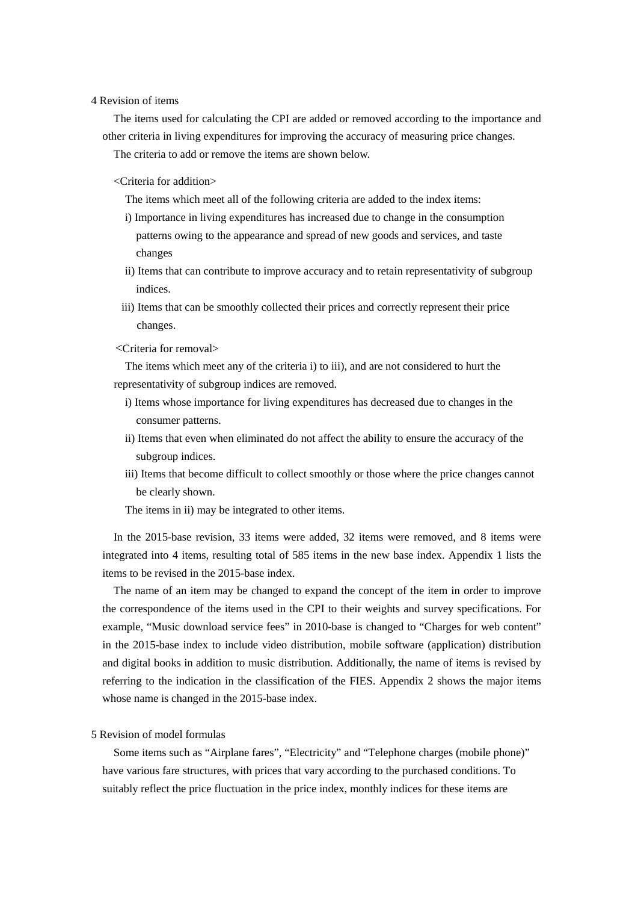## 4 Revision of items

The items used for calculating the CPI are added or removed according to the importance and other criteria in living expenditures for improving the accuracy of measuring price changes. The criteria to add or remove the items are shown below.

<Criteria for addition>

The items which meet all of the following criteria are added to the index items:

- i) Importance in living expenditures has increased due to change in the consumption patterns owing to the appearance and spread of new goods and services, and taste changes
- ii) Items that can contribute to improve accuracy and to retain representativity of subgroup indices.
- iii) Items that can be smoothly collected their prices and correctly represent their price changes.
- <Criteria for removal>

The items which meet any of the criteria i) to iii), and are not considered to hurt the representativity of subgroup indices are removed.

- i) Items whose importance for living expenditures has decreased due to changes in the consumer patterns.
- ii) Items that even when eliminated do not affect the ability to ensure the accuracy of the subgroup indices.
- iii) Items that become difficult to collect smoothly or those where the price changes cannot be clearly shown.

The items in ii) may be integrated to other items.

In the 2015-base revision, 33 items were added, 32 items were removed, and 8 items were integrated into 4 items, resulting total of 585 items in the new base index. Appendix 1 lists the items to be revised in the 2015-base index.

The name of an item may be changed to expand the concept of the item in order to improve the correspondence of the items used in the CPI to their weights and survey specifications. For example, "Music download service fees" in 2010-base is changed to "Charges for web content" in the 2015-base index to include video distribution, mobile software (application) distribution and digital books in addition to music distribution. Additionally, the name of items is revised by referring to the indication in the classification of the FIES. Appendix 2 shows the major items whose name is changed in the 2015-base index.

### 5 Revision of model formulas

Some items such as "Airplane fares", "Electricity" and "Telephone charges (mobile phone)" have various fare structures, with prices that vary according to the purchased conditions. To suitably reflect the price fluctuation in the price index, monthly indices for these items are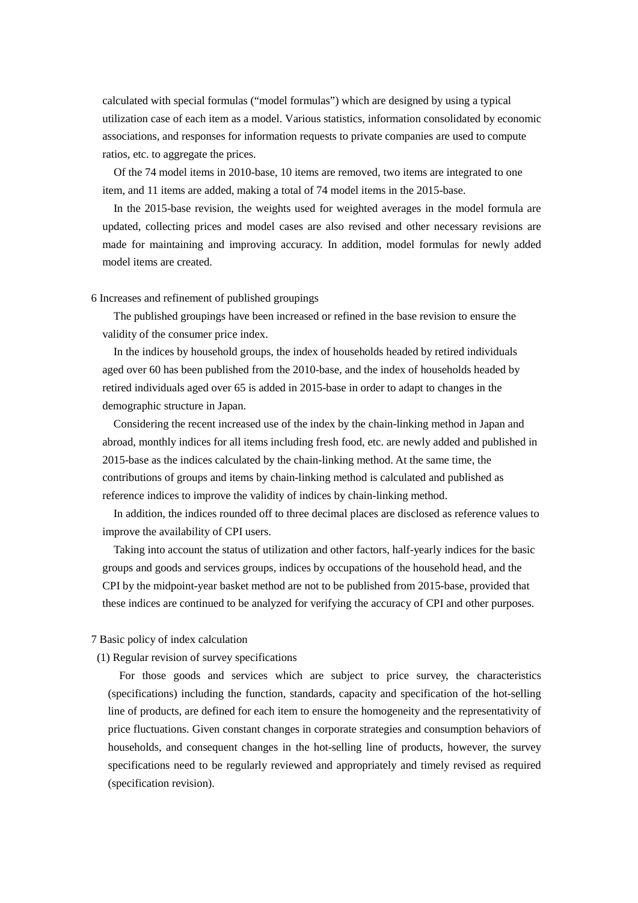calculated with special formulas ("model formulas") which are designed by using a typical utilization case of each item as a model. Various statistics, information consolidated by economic associations, and responses for information requests to private companies are used to compute ratios, etc. to aggregate the prices.

Of the 74 model items in 2010-base, 10 items are removed, two items are integrated to one item, and 11 items are added, making a total of 74 model items in the 2015-base.

In the 2015-base revision, the weights used for weighted averages in the model formula are updated, collecting prices and model cases are also revised and other necessary revisions are made for maintaining and improving accuracy. In addition, model formulas for newly added model items are created.

6 Increases and refinement of published groupings

The published groupings have been increased or refined in the base revision to ensure the validity of the consumer price index.

In the indices by household groups, the index of households headed by retired individuals aged over 60 has been published from the 2010-base, and the index of households headed by retired individuals aged over 65 is added in 2015-base in order to adapt to changes in the demographic structure in Japan.

Considering the recent increased use of the index by the chain-linking method in Japan and abroad, monthly indices for all items including fresh food, etc. are newly added and published in 2015-base as the indices calculated by the chain-linking method. At the same time, the contributions of groups and items by chain-linking method is calculated and published as reference indices to improve the validity of indices by chain-linking method.

In addition, the indices rounded off to three decimal places are disclosed as reference values to improve the availability of CPI users.

Taking into account the status of utilization and other factors, half-yearly indices for the basic groups and goods and services groups, indices by occupations of the household head, and the CPI by the midpoint-year basket method are not to be published from 2015-base, provided that these indices are continued to be analyzed for verifying the accuracy of CPI and other purposes.

#### 7 Basic policy of index calculation

(1) Regular revision of survey specifications

For those goods and services which are subject to price survey, the characteristics (specifications) including the function, standards, capacity and specification of the hot-selling line of products, are defined for each item to ensure the homogeneity and the representativity of price fluctuations. Given constant changes in corporate strategies and consumption behaviors of households, and consequent changes in the hot-selling line of products, however, the survey specifications need to be regularly reviewed and appropriately and timely revised as required (specification revision).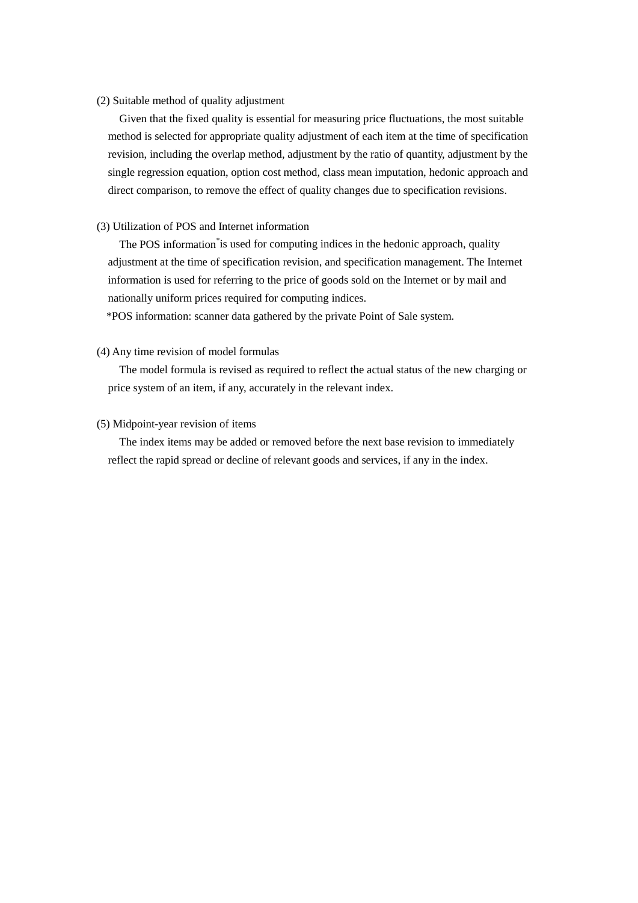## (2) Suitable method of quality adjustment

Given that the fixed quality is essential for measuring price fluctuations, the most suitable method is selected for appropriate quality adjustment of each item at the time of specification revision, including the overlap method, adjustment by the ratio of quantity, adjustment by the single regression equation, option cost method, class mean imputation, hedonic approach and direct comparison, to remove the effect of quality changes due to specification revisions.

## (3) Utilization of POS and Internet information

The POS information<sup>\*</sup> is used for computing indices in the hedonic approach, quality adjustment at the time of specification revision, and specification management. The Internet information is used for referring to the price of goods sold on the Internet or by mail and nationally uniform prices required for computing indices.

\*POS information: scanner data gathered by the private Point of Sale system.

## (4) Any time revision of model formulas

The model formula is revised as required to reflect the actual status of the new charging or price system of an item, if any, accurately in the relevant index.

#### (5) Midpoint-year revision of items

The index items may be added or removed before the next base revision to immediately reflect the rapid spread or decline of relevant goods and services, if any in the index.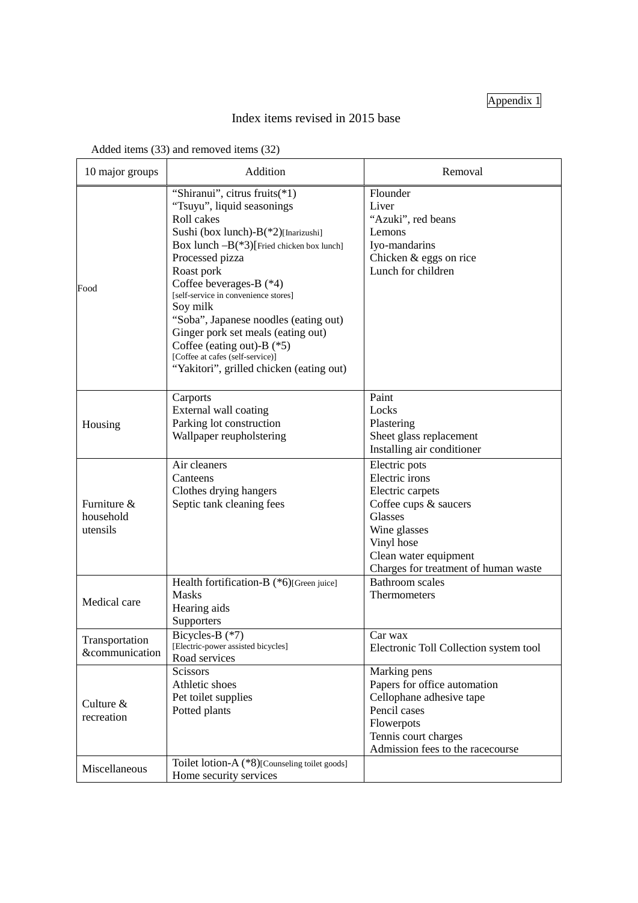# Appendix 1

# Index items revised in 2015 base

| Added items (33) and removed items (32) |
|-----------------------------------------|
|                                         |

| 10 major groups                      | Addition                                                                                                                                                                                                                                                                                                                                                                                                                                                                      | Removal                                                                                                                                                                                |
|--------------------------------------|-------------------------------------------------------------------------------------------------------------------------------------------------------------------------------------------------------------------------------------------------------------------------------------------------------------------------------------------------------------------------------------------------------------------------------------------------------------------------------|----------------------------------------------------------------------------------------------------------------------------------------------------------------------------------------|
| Food                                 | "Shiranui", citrus fruits(*1)<br>"Tsuyu", liquid seasonings<br>Roll cakes<br>Sushi (box lunch)-B(*2)[Inarizushi]<br>Box lunch $-B(*3)$ [Fried chicken box lunch]<br>Processed pizza<br>Roast pork<br>Coffee beverages-B (*4)<br>[self-service in convenience stores]<br>Soy milk<br>"Soba", Japanese noodles (eating out)<br>Ginger pork set meals (eating out)<br>Coffee (eating out)-B (*5)<br>[Coffee at cafes (self-service)]<br>"Yakitori", grilled chicken (eating out) | Flounder<br>Liver<br>"Azuki", red beans<br>Lemons<br>Iyo-mandarins<br>Chicken & eggs on rice<br>Lunch for children                                                                     |
| Housing                              | Carports<br>External wall coating<br>Parking lot construction<br>Wallpaper reupholstering                                                                                                                                                                                                                                                                                                                                                                                     | Paint<br>Locks<br>Plastering<br>Sheet glass replacement<br>Installing air conditioner                                                                                                  |
| Furniture &<br>household<br>utensils | Air cleaners<br>Canteens<br>Clothes drying hangers<br>Septic tank cleaning fees                                                                                                                                                                                                                                                                                                                                                                                               | Electric pots<br>Electric irons<br>Electric carpets<br>Coffee cups & saucers<br>Glasses<br>Wine glasses<br>Vinyl hose<br>Clean water equipment<br>Charges for treatment of human waste |
| Medical care                         | Health fortification-B (*6)[Green juice]<br><b>Masks</b><br>Hearing aids<br>Supporters                                                                                                                                                                                                                                                                                                                                                                                        | <b>Bathroom</b> scales<br>Thermometers                                                                                                                                                 |
| Transportation<br>&communication     | Bicycles-B (*7)<br>[Electric-power assisted bicycles]<br>Road services                                                                                                                                                                                                                                                                                                                                                                                                        | Car wax<br>Electronic Toll Collection system tool                                                                                                                                      |
| Culture &<br>recreation              | Scissors<br>Athletic shoes<br>Pet toilet supplies<br>Potted plants                                                                                                                                                                                                                                                                                                                                                                                                            | Marking pens<br>Papers for office automation<br>Cellophane adhesive tape<br>Pencil cases<br>Flowerpots<br>Tennis court charges<br>Admission fees to the racecourse                     |
| Miscellaneous                        | Toilet lotion-A (*8)[Counseling toilet goods]<br>Home security services                                                                                                                                                                                                                                                                                                                                                                                                       |                                                                                                                                                                                        |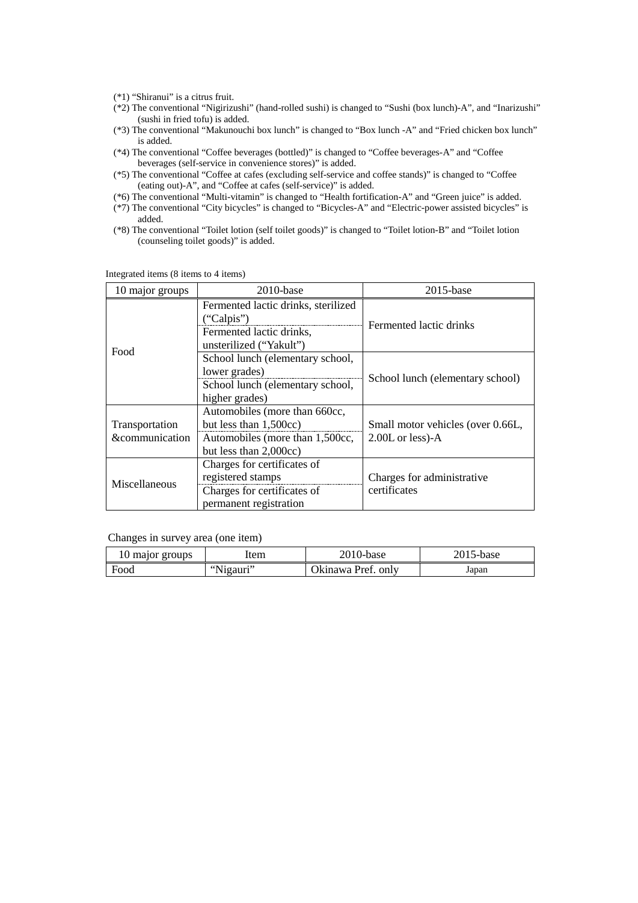- (\*1) "Shiranui" is a citrus fruit.
- (\*2) The conventional "Nigirizushi" (hand-rolled sushi) is changed to "Sushi (box lunch)-A", and "Inarizushi" (sushi in fried tofu) is added.
- (\*3) The conventional "Makunouchi box lunch" is changed to "Box lunch -A" and "Fried chicken box lunch" is added.
- (\*4) The conventional "Coffee beverages (bottled)" is changed to "Coffee beverages-A" and "Coffee beverages (self-service in convenience stores)" is added.
- (\*5) The conventional "Coffee at cafes (excluding self-service and coffee stands)" is changed to "Coffee (eating out)-A", and "Coffee at cafes (self-service)" is added.
- (\*6) The conventional "Multi-vitamin" is changed to "Health fortification-A" and "Green juice" is added.
- (\*7) The conventional "City bicycles" is changed to "Bicycles-A" and "Electric-power assisted bicycles" is added.
- (\*8) The conventional "Toilet lotion (self toilet goods)" is changed to "Toilet lotion-B" and "Toilet lotion (counseling toilet goods)" is added.

| 10 major groups                                                                                                            | $2010$ -base                                                                                                            | $2015$ -base                                            |
|----------------------------------------------------------------------------------------------------------------------------|-------------------------------------------------------------------------------------------------------------------------|---------------------------------------------------------|
| Food                                                                                                                       | Fermented lactic drinks, sterilized<br>("Calpis")<br>Fermented lactic drinks,<br>unsterilized ("Yakult")                | Fermented lactic drinks                                 |
|                                                                                                                            | School lunch (elementary school,<br>lower grades)<br>School lunch (elementary school,<br>higher grades)                 | School lunch (elementary school)                        |
| Transportation<br>&communication                                                                                           | Automobiles (more than 660cc,<br>but less than 1,500cc)<br>Automobiles (more than 1,500cc,<br>but less than $2,000cc$ ) | Small motor vehicles (over 0.66L,<br>$2.00L$ or less)-A |
| Charges for certificates of<br>registered stamps<br>Miscellaneous<br>Charges for certificates of<br>permanent registration |                                                                                                                         | Charges for administrative<br>certificates              |

Integrated items (8 items to 4 items)

Changes in survey area (one item)

| IU major groups | ltem                 | 2010-base          | 2015-base |
|-----------------|----------------------|--------------------|-----------|
| Food            | Nigauri"<br>$66$ NT: | Okinawa Pref. only | Japan     |